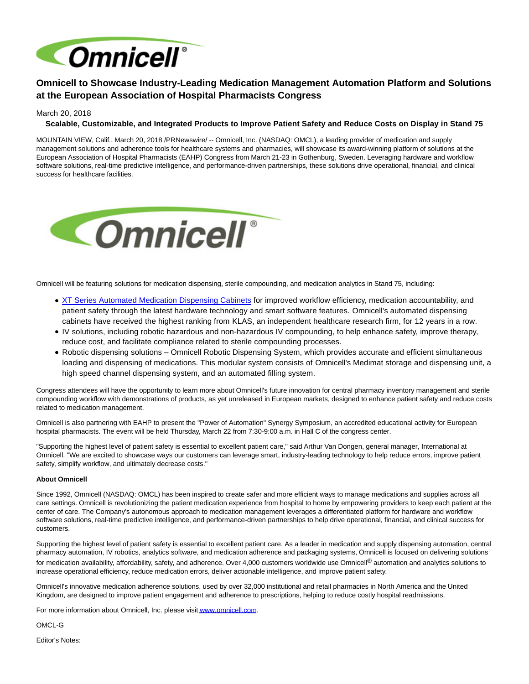

## **Omnicell to Showcase Industry-Leading Medication Management Automation Platform and Solutions at the European Association of Hospital Pharmacists Congress**

March 20, 2018

## **Scalable, Customizable, and Integrated Products to Improve Patient Safety and Reduce Costs on Display in Stand 75**

MOUNTAIN VIEW, Calif., March 20, 2018 /PRNewswire/ -- Omnicell, Inc. (NASDAQ: OMCL), a leading provider of medication and supply management solutions and adherence tools for healthcare systems and pharmacies, will showcase its award-winning platform of solutions at the European Association of Hospital Pharmacists (EAHP) Congress from March 21-23 in Gothenburg, Sweden. Leveraging hardware and workflow software solutions, real-time predictive intelligence, and performance-driven partnerships, these solutions drive operational, financial, and clinical success for healthcare facilities.



Omnicell will be featuring solutions for medication dispensing, sterile compounding, and medication analytics in Stand 75, including:

- [XT Series Automated Medication Dispensing Cabinets f](https://www.omnicell.com/Products/Medication_Dispensing/Automated_Medication_Dispensing/Omnicell_XT_Automated_Dispensing_Cabinets.aspx)or improved workflow efficiency, medication accountability, and patient safety through the latest hardware technology and smart software features. Omnicell's automated dispensing cabinets have received the highest ranking from KLAS, an independent healthcare research firm, for 12 years in a row.
- IV solutions, including robotic hazardous and non-hazardous IV compounding, to help enhance safety, improve therapy, reduce cost, and facilitate compliance related to sterile compounding processes.
- Robotic dispensing solutions Omnicell Robotic Dispensing System, which provides accurate and efficient simultaneous loading and dispensing of medications. This modular system consists of Omnicell's Medimat storage and dispensing unit, a high speed channel dispensing system, and an automated filling system.

Congress attendees will have the opportunity to learn more about Omnicell's future innovation for central pharmacy inventory management and sterile compounding workflow with demonstrations of products, as yet unreleased in European markets, designed to enhance patient safety and reduce costs related to medication management.

Omnicell is also partnering with EAHP to present the "Power of Automation" Synergy Symposium, an accredited educational activity for European hospital pharmacists. The event will be held Thursday, March 22 from 7:30-9:00 a.m. in Hall C of the congress center.

"Supporting the highest level of patient safety is essential to excellent patient care," said Arthur Van Dongen, general manager, International at Omnicell. "We are excited to showcase ways our customers can leverage smart, industry-leading technology to help reduce errors, improve patient safety, simplify workflow, and ultimately decrease costs."

## **About Omnicell**

Since 1992, Omnicell (NASDAQ: OMCL) has been inspired to create safer and more efficient ways to manage medications and supplies across all care settings. Omnicell is revolutionizing the patient medication experience from hospital to home by empowering providers to keep each patient at the center of care. The Company's autonomous approach to medication management leverages a differentiated platform for hardware and workflow software solutions, real-time predictive intelligence, and performance-driven partnerships to help drive operational, financial, and clinical success for customers.

Supporting the highest level of patient safety is essential to excellent patient care. As a leader in medication and supply dispensing automation, central pharmacy automation, IV robotics, analytics software, and medication adherence and packaging systems, Omnicell is focused on delivering solutions for medication availability, affordability, safety, and adherence. Over 4,000 customers worldwide use Omnicell® automation and analytics solutions to increase operational efficiency, reduce medication errors, deliver actionable intelligence, and improve patient safety.

Omnicell's innovative medication adherence solutions, used by over 32,000 institutional and retail pharmacies in North America and the United Kingdom, are designed to improve patient engagement and adherence to prescriptions, helping to reduce costly hospital readmissions.

For more information about Omnicell, Inc. please visi[t www.omnicell.com.](http://www.omnicell.com/)

OMCL-G

Editor's Notes: